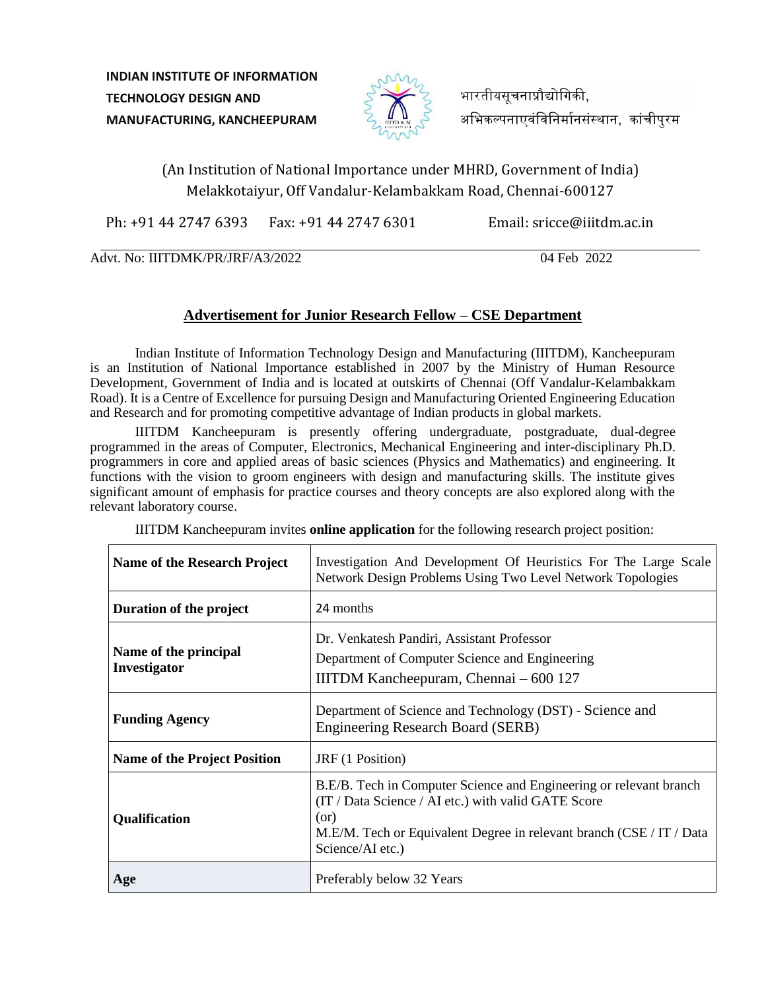**INDIAN INSTITUTE OF INFORMATION TECHNOLOGY DESIGN AND MANUFACTURING, KANCHEEPURAM**



भारतीयसचनाप्रौद्योगिकी. अभिकल्पनाएवंविनिर्मानसंस्थान, कांचीपुरम

# (An Institution of National Importance under MHRD, Government of India) Melakkotaiyur, Off Vandalur-Kelambakkam Road, Chennai-600127

Ph: +91 44 2747 6393 Fax: +91 44 2747 6301 Email: sricce@iiitdm.ac.in

Advt. No: IIITDMK/PR/JRF/A3/2022 04 Feb 2022

## **Advertisement for Junior Research Fellow – CSE Department**

Indian Institute of Information Technology Design and Manufacturing (IIITDM), Kancheepuram is an Institution of National Importance established in 2007 by the Ministry of Human Resource Development, Government of India and is located at outskirts of Chennai (Off Vandalur-Kelambakkam Road). It is a Centre of Excellence for pursuing Design and Manufacturing Oriented Engineering Education and Research and for promoting competitive advantage of Indian products in global markets.

IIITDM Kancheepuram is presently offering undergraduate, postgraduate, dual-degree programmed in the areas of Computer, Electronics, Mechanical Engineering and inter-disciplinary Ph.D. programmers in core and applied areas of basic sciences (Physics and Mathematics) and engineering. It functions with the vision to groom engineers with design and manufacturing skills. The institute gives significant amount of emphasis for practice courses and theory concepts are also explored along with the relevant laboratory course.

| Name of the Research Project          | Investigation And Development Of Heuristics For The Large Scale<br>Network Design Problems Using Two Level Network Topologies                                                                                                 |
|---------------------------------------|-------------------------------------------------------------------------------------------------------------------------------------------------------------------------------------------------------------------------------|
| Duration of the project               | 24 months                                                                                                                                                                                                                     |
| Name of the principal<br>Investigator | Dr. Venkatesh Pandiri, Assistant Professor<br>Department of Computer Science and Engineering<br>IIITDM Kancheepuram, Chennai - 600 127                                                                                        |
| <b>Funding Agency</b>                 | Department of Science and Technology (DST) - Science and<br><b>Engineering Research Board (SERB)</b>                                                                                                                          |
| <b>Name of the Project Position</b>   | JRF (1 Position)                                                                                                                                                                                                              |
| Qualification                         | B.E/B. Tech in Computer Science and Engineering or relevant branch<br>(IT / Data Science / AI etc.) with valid GATE Score<br>(or)<br>M.E/M. Tech or Equivalent Degree in relevant branch (CSE / IT / Data<br>Science/AI etc.) |
| Age                                   | Preferably below 32 Years                                                                                                                                                                                                     |

IIITDM Kancheepuram invites **online application** for the following research project position: